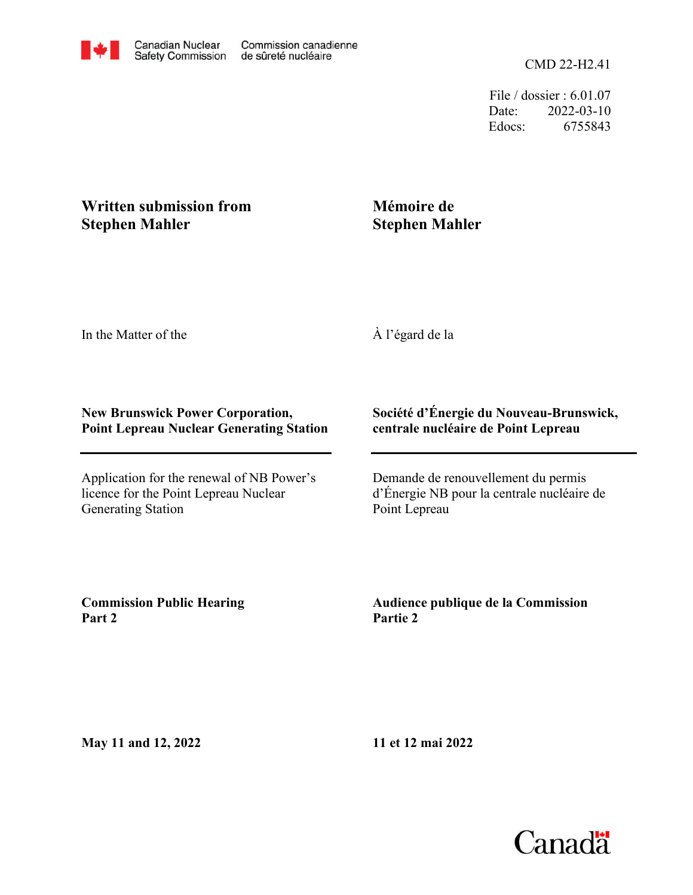CMD 22-H2.41

File / dossier : 6.01.07 Date: 2022-03-10 Edocs: 6755843

## **Written submission from Stephen Mahler**

# **Mémoire de Stephen Mahler**

In the Matter of the

### À l'égard de la

#### **New Brunswick Power Corporation, Point Lepreau Nuclear Generating Station**

Application for the renewal of NB Power's licence for the Point Lepreau Nuclear Generating Station

#### **Société d'Énergie du Nouveau-Brunswick, centrale nucléaire de Point Lepreau**

Demande de renouvellement du permis d'Énergie NB pour la centrale nucléaire de Point Lepreau

**Commission Public Hearing Part 2**

**Audience publique de la Commission Partie 2**

**May 11 and 12, 2022**

**11 et 12 mai 2022**

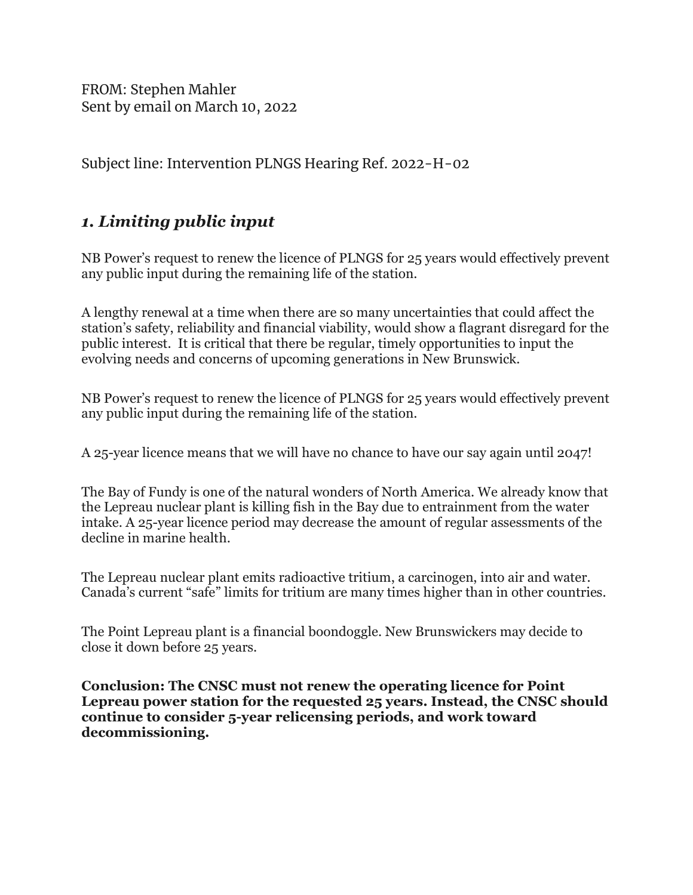FROM: Stephen Mahler Sent by email on March 10, 2022

Subject line: Intervention PLNGS Hearing Ref. 2022-H-02

# 1. Limiting public input

NB Power's request to renew the licence of PLNGS for 25 years would effectively prevent any public input during the remaining life of the station.

A lengthy renewal at a time when there are so many uncertainties that could affect the station's safety, reliability and financial viability, would show a flagrant disregard for the public interest. It is critical that there be regular, timely opportunities to input the evolving needs and concerns of upcoming generations in New Brunswick.

NB Power's request to renew the licence of PLNGS for 25 years would effectively prevent any public input during the remaining life of the station.

A 25-year licence means that we will have no chance to have our say again until 2047!

The Bay of Fundy is one of the natural wonders of North America. We already know that the Lepreau nuclear plant is killing fish in the Bay due to entrainment from the water intake. A 25-year licence period may decrease the amount of regular assessments of the decline in marine health.

The Lepreau nuclear plant emits radioactive tritium, a carcinogen, into air and water. Canada's current "safe" limits for tritium are many times higher than in other countries.

The Point Lepreau plant is a financial boondoggle. New Brunswickers may decide to close it down before 25 years.

Conclusion: The CNSC must not renew the operating licence for Point Lepreau power station for the requested 25 years. Instead, the CNSC should continue to consider 5-year relicensing periods, and work toward decommissioning.